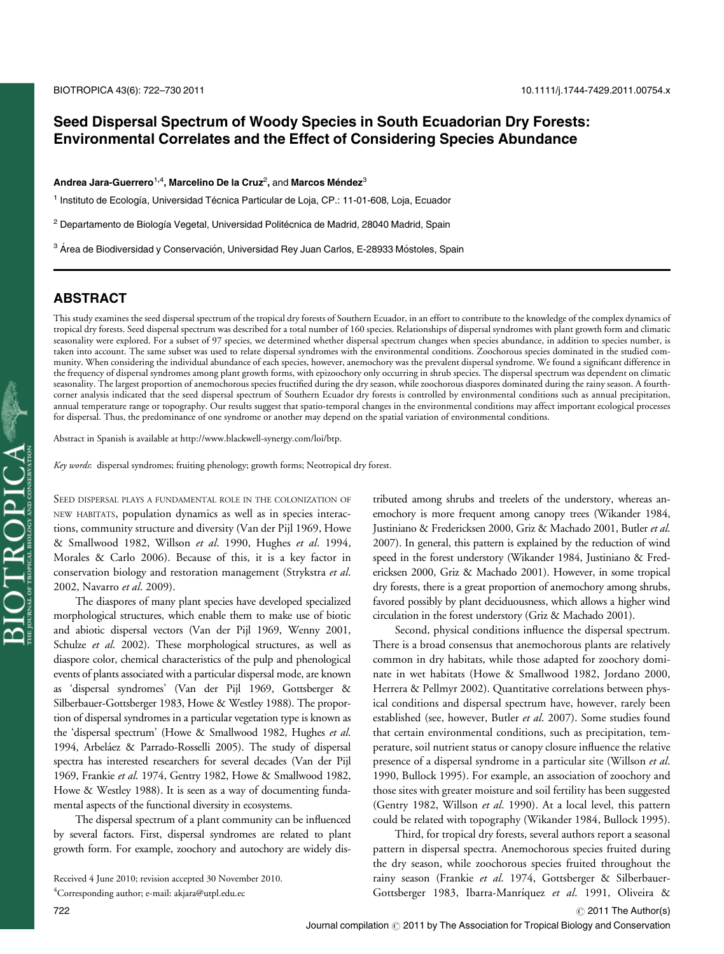# Seed Dispersal Spectrum of Woody Species in South Ecuadorian Dry Forests: Environmental Correlates and the Effect of Considering Species Abundance

#### Andrea Jara-Guerrero $^{1,4}$ , Marcelino De la Cruz $^{2}$ , and Marcos Méndez $^{3}$

<sup>1</sup> Instituto de Ecología, Universidad Técnica Particular de Loja, CP.: 11-01-608, Loja, Ecuador

<sup>2</sup> Departamento de Biología Vegetal, Universidad Politécnica de Madrid, 28040 Madrid, Spain

 $3$  Área de Biodiversidad y Conservación, Universidad Rey Juan Carlos, E-28933 Móstoles, Spain

### ABSTRACT

 $\operatorname{BIOTROP} \left( \bigcap_{\text{non-convex process}} \operatorname{DIO} \right)$ 

This study examines the seed dispersal spectrum of the tropical dry forests of Southern Ecuador, in an effort to contribute to the knowledge of the complex dynamics of tropical dry forests. Seed dispersal spectrum was described for a total number of 160 species. Relationships of dispersal syndromes with plant growth form and climatic seasonality were explored. For a subset of 97 species, we determined whether dispersal spectrum changes when species abundance, in addition to species number, is taken into account. The same subset was used to relate dispersal syndromes with the environmental conditions. Zoochorous species dominated in the studied community. When considering the individual abundance of each species, however, anemochory was the prevalent dispersal syndrome. We found a significant difference in the frequency of dispersal syndromes among plant growth forms, with epizoochory only occurring in shrub species. The dispersal spectrum was dependent on climatic seasonality. The largest proportion of anemochorous species fructified during the dry season, while zoochorous diaspores dominated during the rainy season. A fourthcorner analysis indicated that the seed dispersal spectrum of Southern Ecuador dry forests is controlled by environmental conditions such as annual precipitation, annual temperature range or topography. Our results suggest that spatio-temporal changes in the environmental conditions may affect important ecological processes for dispersal. Thus, the predominance of one syndrome or another may depend on the spatial variation of environmental conditions.

Abstract in Spanish is available at [http://www.blackwell-synergy.com/loi/btp.](http://www.blackwell-synergy.com/loi/btp)

Key words: dispersal syndromes; fruiting phenology; growth forms; Neotropical dry forest.

SEED DISPERSAL PLAYS A FUNDAMENTAL ROLE IN THE COLONIZATION OF NEW HABITATS, population dynamics as well as in species interactions, community structure and diversity (Van der Pijl 1969, Howe & Smallwood 1982, Willson et al. 1990, Hughes et al. 1994, Morales & Carlo 2006). Because of this, it is a key factor in conservation biology and restoration management (Strykstra et al. 2002, Navarro et al. 2009).

The diaspores of many plant species have developed specialized morphological structures, which enable them to make use of biotic and abiotic dispersal vectors (Van der Pijl 1969, Wenny 2001, Schulze et al. 2002). These morphological structures, as well as diaspore color, chemical characteristics of the pulp and phenological events of plants associated with a particular dispersal mode, are known as 'dispersal syndromes' (Van der Pijl 1969, Gottsberger & Silberbauer-Gottsberger 1983, Howe & Westley 1988). The proportion of dispersal syndromes in a particular vegetation type is known as the 'dispersal spectrum' (Howe & Smallwood 1982, Hughes et al. 1994, Arbeláez & Parrado-Rosselli 2005). The study of dispersal spectra has interested researchers for several decades (Van der Pijl 1969, Frankie et al. 1974, Gentry 1982, Howe & Smallwood 1982, Howe & Westley 1988). It is seen as a way of documenting fundamental aspects of the functional diversity in ecosystems.

The dispersal spectrum of a plant community can be influenced by several factors. First, dispersal syndromes are related to plant growth form. For example, zoochory and autochory are widely distributed among shrubs and treelets of the understory, whereas anemochory is more frequent among canopy trees (Wikander 1984, Justiniano & Fredericksen 2000, Griz & Machado 2001, Butler et al. 2007). In general, this pattern is explained by the reduction of wind speed in the forest understory (Wikander 1984, Justiniano & Fredericksen 2000, Griz & Machado 2001). However, in some tropical dry forests, there is a great proportion of anemochory among shrubs, favored possibly by plant deciduousness, which allows a higher wind circulation in the forest understory (Griz & Machado 2001).

Second, physical conditions influence the dispersal spectrum. There is a broad consensus that anemochorous plants are relatively common in dry habitats, while those adapted for zoochory dominate in wet habitats (Howe & Smallwood 1982, Jordano 2000, Herrera & Pellmyr 2002). Quantitative correlations between physical conditions and dispersal spectrum have, however, rarely been established (see, however, Butler et al. 2007). Some studies found that certain environmental conditions, such as precipitation, temperature, soil nutrient status or canopy closure influence the relative presence of a dispersal syndrome in a particular site (Willson *et al.*) 1990, Bullock 1995). For example, an association of zoochory and those sites with greater moisture and soil fertility has been suggested (Gentry 1982, Willson et al. 1990). At a local level, this pattern could be related with topography (Wikander 1984, Bullock 1995).

Third, for tropical dry forests, several authors report a seasonal pattern in dispersal spectra. Anemochorous species fruited during the dry season, while zoochorous species fruited throughout the rainy season (Frankie et al. 1974, Gottsberger & Silberbauer-Gottsberger 1983, Ibarra-Manríquez et al. 1991, Oliveira &

Received 4 June 2010; revision accepted 30 November 2010. 4 Corresponding author; e-mail: [akjara@utpl.edu.ec](mailto:akjara@utpl.edu.ec)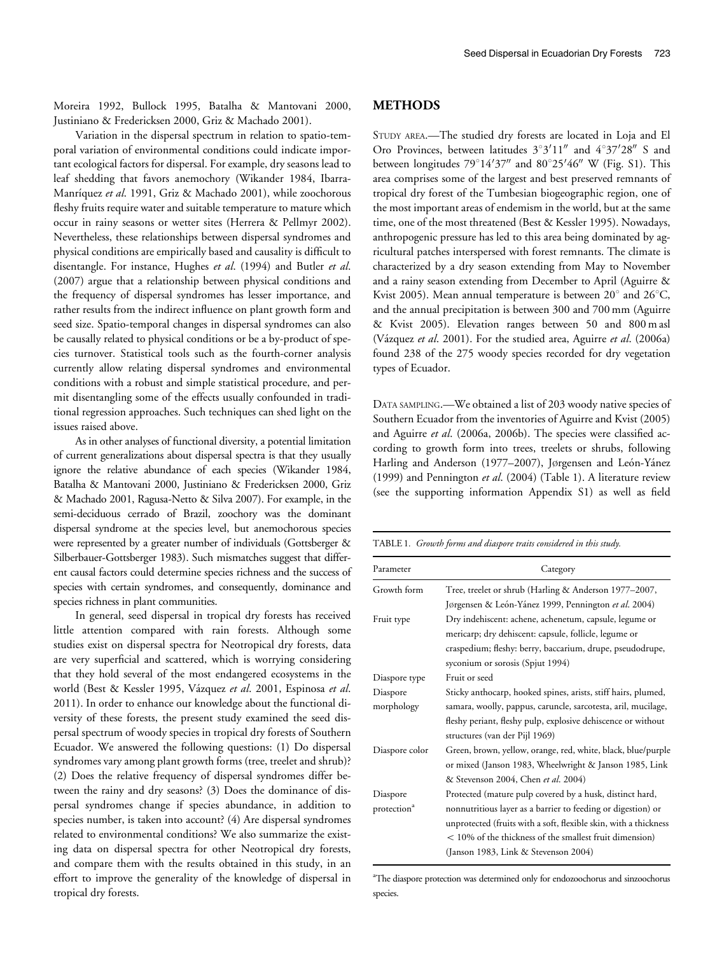Moreira 1992, Bullock 1995, Batalha & Mantovani 2000, Justiniano & Fredericksen 2000, Griz & Machado 2001).

Variation in the dispersal spectrum in relation to spatio-temporal variation of environmental conditions could indicate important ecological factors for dispersal. For example, dry seasons lead to leaf shedding that favors anemochory (Wikander 1984, Ibarra-Manríquez et al. 1991, Griz & Machado 2001), while zoochorous fleshy fruits require water and suitable temperature to mature which occur in rainy seasons or wetter sites (Herrera & Pellmyr 2002). Nevertheless, these relationships between dispersal syndromes and physical conditions are empirically based and causality is difficult to disentangle. For instance, Hughes et al. (1994) and Butler et al. (2007) argue that a relationship between physical conditions and the frequency of dispersal syndromes has lesser importance, and rather results from the indirect influence on plant growth form and seed size. Spatio-temporal changes in dispersal syndromes can also be causally related to physical conditions or be a by-product of species turnover. Statistical tools such as the fourth-corner analysis currently allow relating dispersal syndromes and environmental conditions with a robust and simple statistical procedure, and permit disentangling some of the effects usually confounded in traditional regression approaches. Such techniques can shed light on the issues raised above.

As in other analyses of functional diversity, a potential limitation of current generalizations about dispersal spectra is that they usually ignore the relative abundance of each species (Wikander 1984, Batalha & Mantovani 2000, Justiniano & Fredericksen 2000, Griz & Machado 2001, Ragusa-Netto & Silva 2007). For example, in the semi-deciduous cerrado of Brazil, zoochory was the dominant dispersal syndrome at the species level, but anemochorous species were represented by a greater number of individuals (Gottsberger & Silberbauer-Gottsberger 1983). Such mismatches suggest that different causal factors could determine species richness and the success of species with certain syndromes, and consequently, dominance and species richness in plant communities.

In general, seed dispersal in tropical dry forests has received little attention compared with rain forests. Although some studies exist on dispersal spectra for Neotropical dry forests, data are very superficial and scattered, which is worrying considering that they hold several of the most endangered ecosystems in the world (Best & Kessler 1995, Vázquez et al. 2001, Espinosa et al. 2011). In order to enhance our knowledge about the functional diversity of these forests, the present study examined the seed dispersal spectrum of woody species in tropical dry forests of Southern Ecuador. We answered the following questions: (1) Do dispersal syndromes vary among plant growth forms (tree, treelet and shrub)? (2) Does the relative frequency of dispersal syndromes differ between the rainy and dry seasons? (3) Does the dominance of dispersal syndromes change if species abundance, in addition to species number, is taken into account? (4) Are dispersal syndromes related to environmental conditions? We also summarize the existing data on dispersal spectra for other Neotropical dry forests, and compare them with the results obtained in this study, in an effort to improve the generality of the knowledge of dispersal in tropical dry forests.

#### METHODS

STUDY AREA.—The studied dry forests are located in Loja and El Oro Provinces, between latitudes  $3^{\circ}3'11''$  and  $4^{\circ}37'28''$  S and between longitudes  $79^{\circ}14'37''$  and  $80^{\circ}25'46''$  W (Fig. S1). This area comprises some of the largest and best preserved remnants of tropical dry forest of the Tumbesian biogeographic region, one of the most important areas of endemism in the world, but at the same time, one of the most threatened (Best & Kessler 1995). Nowadays, anthropogenic pressure has led to this area being dominated by agricultural patches interspersed with forest remnants. The climate is characterized by a dry season extending from May to November and a rainy season extending from December to April (Aguirre & Kvist 2005). Mean annual temperature is between  $20^{\circ}$  and  $26^{\circ}$ C, and the annual precipitation is between 300 and 700 mm (Aguirre & Kvist 2005). Elevation ranges between 50 and 800 m asl (Vázquez et al. 2001). For the studied area, Aguirre et al. (2006a) found 238 of the 275 woody species recorded for dry vegetation types of Ecuador.

DATA SAMPLING.—We obtained a list of 203 woody native species of Southern Ecuador from the inventories of Aguirre and Kvist (2005) and Aguirre et al. (2006a, 2006b). The species were classified according to growth form into trees, treelets or shrubs, following Harling and Anderson (1977–2007), Jørgensen and León-Yánez (1999) and Pennington et al. (2004) (Table 1). A literature review (see the supporting information Appendix S1) as well as field

TABLE 1. Growth forms and diaspore traits considered in this study. Parameter Category Growth form Tree, treelet or shrub (Harling & Anderson 1977–2007, Jørgensen & León-Yánez 1999, Pennington et al. 2004) Fruit type Dry indehiscent: achene, achenetum, capsule, legume or mericarp; dry dehiscent: capsule, follicle, legume or craspedium; fleshy: berry, baccarium, drupe, pseudodrupe, syconium or sorosis (Spjut 1994) Diaspore type Fruit or seed Diaspore morphology Sticky anthocarp, hooked spines, arists, stiff hairs, plumed, samara, woolly, pappus, caruncle, sarcotesta, aril, mucilage, fleshy periant, fleshy pulp, explosive dehiscence or without structures (van der Pijl 1969) Diaspore color Green, brown, yellow, orange, red, white, black, blue/purple or mixed (Janson 1983, Wheelwright & Janson 1985, Link & Stevenson 2004, Chen et al. 2004)

| Diaspore                | Protected (mature pulp covered by a husk, distinct hard,         |
|-------------------------|------------------------------------------------------------------|
| protection <sup>a</sup> | nonnutritious layer as a barrier to feeding or digestion) or     |
|                         | unprotected (fruits with a soft, flexible skin, with a thickness |
|                         | $<$ 10% of the thickness of the smallest fruit dimension)        |
|                         | (Janson 1983, Link & Stevenson 2004)                             |
|                         |                                                                  |

<sup>a</sup>The diaspore protection was determined only for endozoochorus and sinzoochorus species.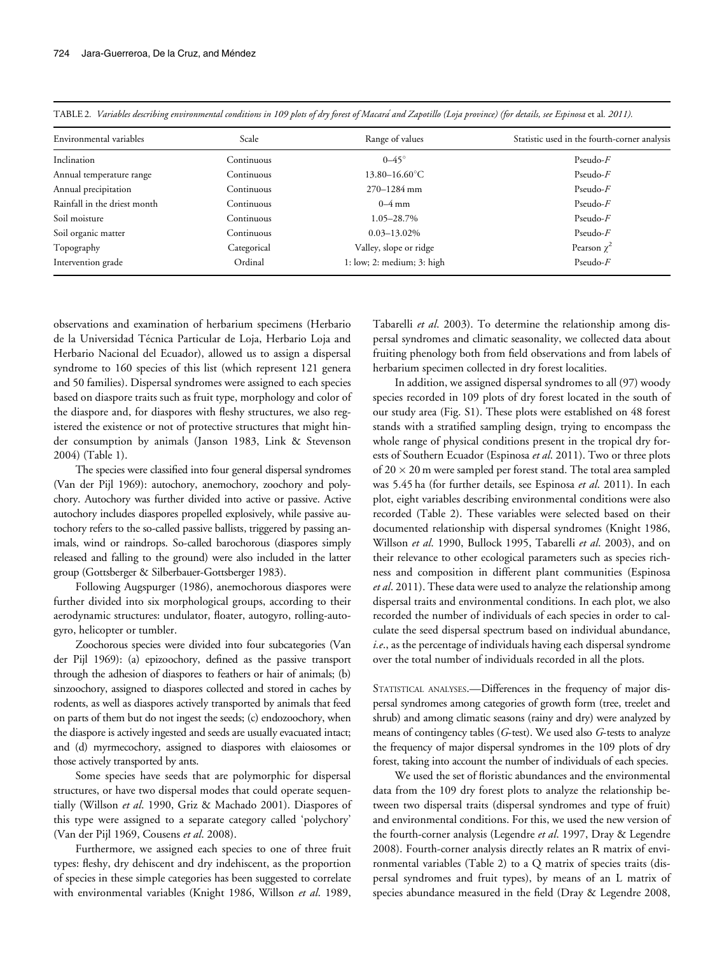| Environmental variables      | Scale       | Range of values                  | Statistic used in the fourth-corner analysis |  |  |  |
|------------------------------|-------------|----------------------------------|----------------------------------------------|--|--|--|
| Inclination                  | Continuous  | $0-45^\circ$                     | $Pseudo-F$                                   |  |  |  |
| Annual temperature range     | Continuous  | $13.80 - 16.60^{\circ}$ C        | Pseudo- $F$                                  |  |  |  |
| Annual precipitation         | Continuous  | $270 - 1284$ mm                  | $Pseudo-F$                                   |  |  |  |
| Rainfall in the driest month | Continuous  | $0-4$ mm                         | Pseudo- $F$                                  |  |  |  |
| Soil moisture                | Continuous  | 1.05-28.7%                       | Pseudo- $F$                                  |  |  |  |
| Soil organic matter          | Continuous  | $0.03 - 13.02\%$                 | Pseudo- $F$                                  |  |  |  |
| Topography                   | Categorical | Valley, slope or ridge           | Pearson $\chi^2$                             |  |  |  |
| Intervention grade           | Ordinal     | $1:$ low; $2:$ medium; $3:$ high | Pseudo- $F$                                  |  |  |  |

TABLE 2. Variables describing environmental conditions in 109 plots of dry forest of Macara´ and Zapotillo (Loja province) (for details, see Espinosa et al. 2011).

observations and examination of herbarium specimens (Herbario de la Universidad Técnica Particular de Loja, Herbario Loja and Herbario Nacional del Ecuador), allowed us to assign a dispersal syndrome to 160 species of this list (which represent 121 genera and 50 families). Dispersal syndromes were assigned to each species based on diaspore traits such as fruit type, morphology and color of the diaspore and, for diaspores with fleshy structures, we also registered the existence or not of protective structures that might hinder consumption by animals (Janson 1983, Link & Stevenson 2004) (Table 1).

The species were classified into four general dispersal syndromes (Van der Pijl 1969): autochory, anemochory, zoochory and polychory. Autochory was further divided into active or passive. Active autochory includes diaspores propelled explosively, while passive autochory refers to the so-called passive ballists, triggered by passing animals, wind or raindrops. So-called barochorous (diaspores simply released and falling to the ground) were also included in the latter group (Gottsberger & Silberbauer-Gottsberger 1983).

Following Augspurger (1986), anemochorous diaspores were further divided into six morphological groups, according to their aerodynamic structures: undulator, floater, autogyro, rolling-autogyro, helicopter or tumbler.

Zoochorous species were divided into four subcategories (Van der Pijl 1969): (a) epizoochory, defined as the passive transport through the adhesion of diaspores to feathers or hair of animals; (b) sinzoochory, assigned to diaspores collected and stored in caches by rodents, as well as diaspores actively transported by animals that feed on parts of them but do not ingest the seeds; (c) endozoochory, when the diaspore is actively ingested and seeds are usually evacuated intact; and (d) myrmecochory, assigned to diaspores with elaiosomes or those actively transported by ants.

Some species have seeds that are polymorphic for dispersal structures, or have two dispersal modes that could operate sequentially (Willson et al. 1990, Griz & Machado 2001). Diaspores of this type were assigned to a separate category called 'polychory' (Van der Pijl 1969, Cousens et al. 2008).

Furthermore, we assigned each species to one of three fruit types: fleshy, dry dehiscent and dry indehiscent, as the proportion of species in these simple categories has been suggested to correlate with environmental variables (Knight 1986, Willson et al. 1989,

Tabarelli et al. 2003). To determine the relationship among dispersal syndromes and climatic seasonality, we collected data about fruiting phenology both from field observations and from labels of herbarium specimen collected in dry forest localities.

In addition, we assigned dispersal syndromes to all (97) woody species recorded in 109 plots of dry forest located in the south of our study area (Fig. S1). These plots were established on 48 forest stands with a stratified sampling design, trying to encompass the whole range of physical conditions present in the tropical dry forests of Southern Ecuador (Espinosa et al. 2011). Two or three plots of 20  $\times$  20 m were sampled per forest stand. The total area sampled was 5.45 ha (for further details, see Espinosa et al. 2011). In each plot, eight variables describing environmental conditions were also recorded (Table 2). These variables were selected based on their documented relationship with dispersal syndromes (Knight 1986, Willson et al. 1990, Bullock 1995, Tabarelli et al. 2003), and on their relevance to other ecological parameters such as species richness and composition in different plant communities (Espinosa et al. 2011). These data were used to analyze the relationship among dispersal traits and environmental conditions. In each plot, we also recorded the number of individuals of each species in order to calculate the seed dispersal spectrum based on individual abundance, i.e., as the percentage of individuals having each dispersal syndrome over the total number of individuals recorded in all the plots.

STATISTICAL ANALYSES.—Differences in the frequency of major dispersal syndromes among categories of growth form (tree, treelet and shrub) and among climatic seasons (rainy and dry) were analyzed by means of contingency tables (G-test). We used also G-tests to analyze the frequency of major dispersal syndromes in the 109 plots of dry forest, taking into account the number of individuals of each species.

We used the set of floristic abundances and the environmental data from the 109 dry forest plots to analyze the relationship between two dispersal traits (dispersal syndromes and type of fruit) and environmental conditions. For this, we used the new version of the fourth-corner analysis (Legendre et al. 1997, Dray & Legendre 2008). Fourth-corner analysis directly relates an R matrix of environmental variables (Table 2) to a Q matrix of species traits (dispersal syndromes and fruit types), by means of an L matrix of species abundance measured in the field (Dray & Legendre 2008,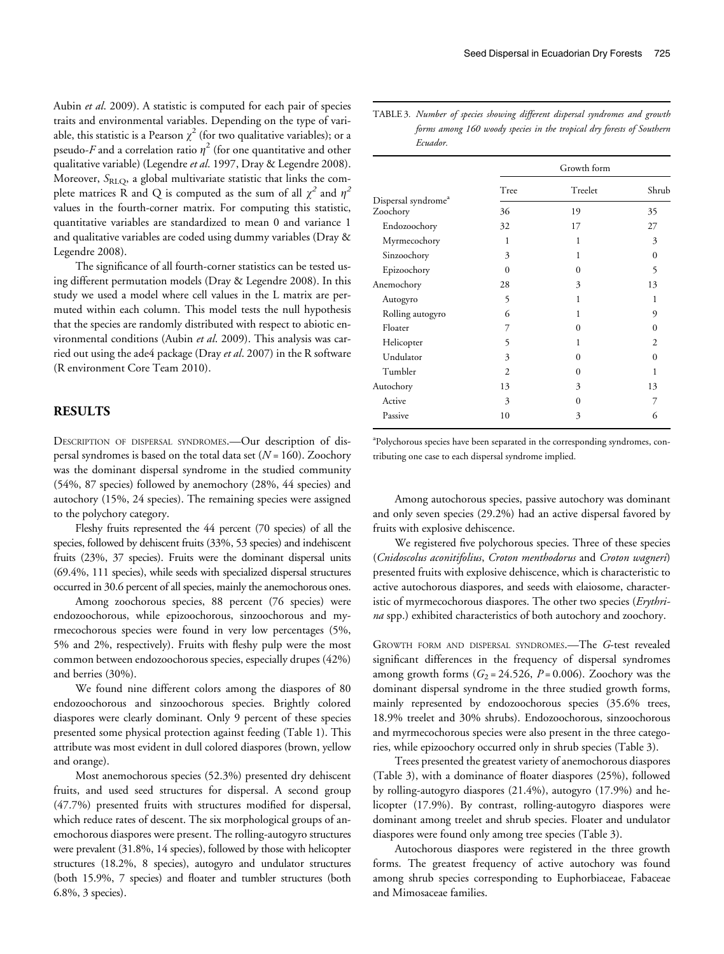Aubin et al. 2009). A statistic is computed for each pair of species traits and environmental variables. Depending on the type of variable, this statistic is a Pearson  $\chi^2$  (for two qualitative variables); or a pseudo-F and a correlation ratio  $\eta^2$  (for one quantitative and other qualitative variable) (Legendre et al. 1997, Dray & Legendre 2008). Moreover,  $S_{\text{RLQ}}$ , a global multivariate statistic that links the complete matrices R and Q is computed as the sum of all  $\chi^2$  and  $\eta^2$ values in the fourth-corner matrix. For computing this statistic, quantitative variables are standardized to mean 0 and variance 1 and qualitative variables are coded using dummy variables (Dray & Legendre 2008).

The significance of all fourth-corner statistics can be tested using different permutation models (Dray & Legendre 2008). In this study we used a model where cell values in the L matrix are permuted within each column. This model tests the null hypothesis that the species are randomly distributed with respect to abiotic environmental conditions (Aubin et al. 2009). This analysis was carried out using the ade4 package (Dray et al. 2007) in the R software (R environment Core Team 2010).

#### RESULTS

DESCRIPTION OF DISPERSAL SYNDROMES.—Our description of dispersal syndromes is based on the total data set  $(N = 160)$ . Zoochory was the dominant dispersal syndrome in the studied community (54%, 87 species) followed by anemochory (28%, 44 species) and autochory (15%, 24 species). The remaining species were assigned to the polychory category.

Fleshy fruits represented the 44 percent (70 species) of all the species, followed by dehiscent fruits (33%, 53 species) and indehiscent fruits (23%, 37 species). Fruits were the dominant dispersal units (69.4%, 111 species), while seeds with specialized dispersal structures occurred in 30.6 percent of all species, mainly the anemochorous ones.

Among zoochorous species, 88 percent (76 species) were endozoochorous, while epizoochorous, sinzoochorous and myrmecochorous species were found in very low percentages (5%, 5% and 2%, respectively). Fruits with fleshy pulp were the most common between endozoochorous species, especially drupes (42%) and berries (30%).

We found nine different colors among the diaspores of 80 endozoochorous and sinzoochorous species. Brightly colored diaspores were clearly dominant. Only 9 percent of these species presented some physical protection against feeding (Table 1). This attribute was most evident in dull colored diaspores (brown, yellow and orange).

Most anemochorous species (52.3%) presented dry dehiscent fruits, and used seed structures for dispersal. A second group (47.7%) presented fruits with structures modified for dispersal, which reduce rates of descent. The six morphological groups of anemochorous diaspores were present. The rolling-autogyro structures were prevalent (31.8%, 14 species), followed by those with helicopter structures (18.2%, 8 species), autogyro and undulator structures (both 15.9%, 7 species) and floater and tumbler structures (both 6.8%, 3 species).

TABLE 3. Number of species showing different dispersal syndromes and growth forms among 160 woody species in the tropical dry forests of Southern Ecuador.

|                                             | Growth form    |          |                |  |  |
|---------------------------------------------|----------------|----------|----------------|--|--|
|                                             | Tree           | Treelet  | Shrub          |  |  |
| Dispersal syndrome <sup>a</sup><br>Zoochory | 36             | 19       | 35             |  |  |
| Endozoochory                                | 32             | 17       | 27             |  |  |
| Myrmecochory                                | 1              | 1        | 3              |  |  |
| Sinzoochory                                 | 3              | 1        | $\Omega$       |  |  |
| Epizoochory                                 | $\Omega$       | $\Omega$ | 5              |  |  |
| Anemochory                                  | 28             | 3        | 13             |  |  |
| Autogyro                                    | 5              | 1        | 1              |  |  |
| Rolling autogyro                            | 6              | 1        | 9              |  |  |
| Floater                                     | 7              | $\Omega$ | $\Omega$       |  |  |
| Helicopter                                  | 5              | 1        | $\overline{c}$ |  |  |
| Undulator                                   | 3              | $\Omega$ | $\Omega$       |  |  |
| Tumbler                                     | $\overline{2}$ | $\Omega$ | 1              |  |  |
| Autochory                                   | 13             | 3        | 13             |  |  |
| Active                                      | 3              | $\Omega$ | 7              |  |  |
| Passive                                     | 10             | 3        | 6              |  |  |

<sup>a</sup>Polychorous species have been separated in the corresponding syndromes, contributing one case to each dispersal syndrome implied.

Among autochorous species, passive autochory was dominant and only seven species (29.2%) had an active dispersal favored by fruits with explosive dehiscence.

We registered five polychorous species. Three of these species (Cnidoscolus aconitifolius, Croton menthodorus and Croton wagneri) presented fruits with explosive dehiscence, which is characteristic to active autochorous diaspores, and seeds with elaiosome, characteristic of myrmecochorous diaspores. The other two species (Erythrina spp.) exhibited characteristics of both autochory and zoochory.

GROWTH FORM AND DISPERSAL SYNDROMES.—The G-test revealed significant differences in the frequency of dispersal syndromes among growth forms  $(G_2 = 24.526, P = 0.006)$ . Zoochory was the dominant dispersal syndrome in the three studied growth forms, mainly represented by endozoochorous species (35.6% trees, 18.9% treelet and 30% shrubs). Endozoochorous, sinzoochorous and myrmecochorous species were also present in the three categories, while epizoochory occurred only in shrub species (Table 3).

Trees presented the greatest variety of anemochorous diaspores (Table 3), with a dominance of floater diaspores (25%), followed by rolling-autogyro diaspores (21.4%), autogyro (17.9%) and helicopter (17.9%). By contrast, rolling-autogyro diaspores were dominant among treelet and shrub species. Floater and undulator diaspores were found only among tree species (Table 3).

Autochorous diaspores were registered in the three growth forms. The greatest frequency of active autochory was found among shrub species corresponding to Euphorbiaceae, Fabaceae and Mimosaceae families.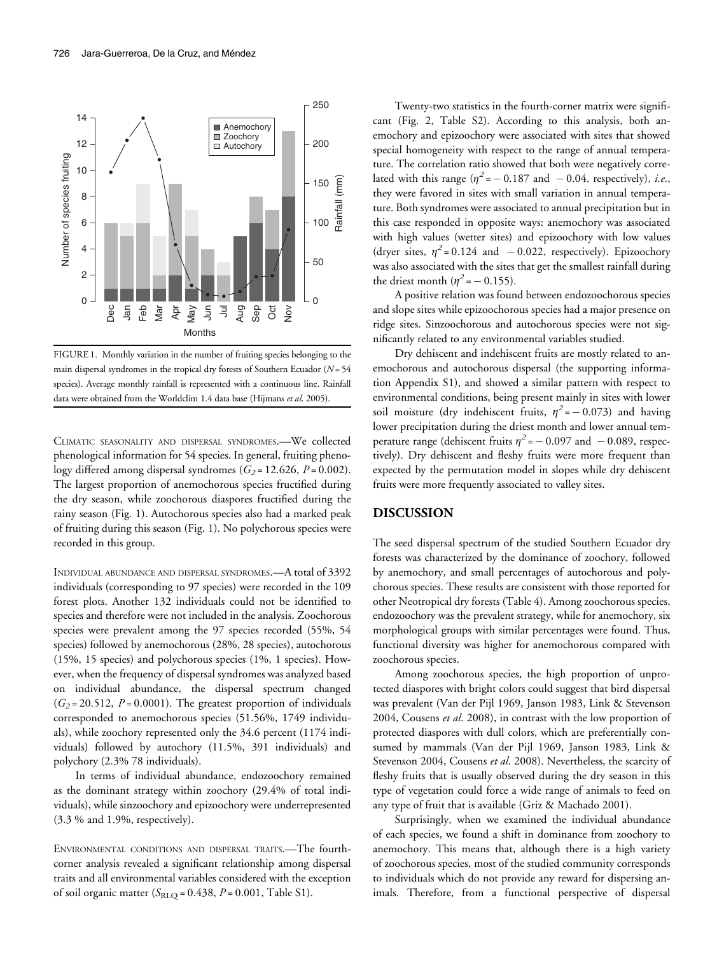

FIGURE 1. Monthly variation in the number of fruiting species belonging to the main dispersal syndromes in the tropical dry forests of Southern Ecuador ( $N = 54$ species). Average monthly rainfall is represented with a continuous line. Rainfall data were obtained from the Worldclim 1.4 data base (Hijmans et al. 2005).

CLIMATIC SEASONALITY AND DISPERSAL SYNDROMES.—We collected phenological information for 54 species. In general, fruiting phenology differed among dispersal syndromes ( $G_2$  = 12.626,  $P$  = 0.002). The largest proportion of anemochorous species fructified during the dry season, while zoochorous diaspores fructified during the rainy season (Fig. 1). Autochorous species also had a marked peak of fruiting during this season (Fig. 1). No polychorous species were recorded in this group.

INDIVIDUAL ABUNDANCE AND DISPERSAL SYNDROMES.—A total of 3392 individuals (corresponding to 97 species) were recorded in the 109 forest plots. Another 132 individuals could not be identified to species and therefore were not included in the analysis. Zoochorous species were prevalent among the 97 species recorded (55%, 54 species) followed by anemochorous (28%, 28 species), autochorous (15%, 15 species) and polychorous species (1%, 1 species). However, when the frequency of dispersal syndromes was analyzed based on individual abundance, the dispersal spectrum changed  $(G_2 = 20.512, P = 0.0001)$ . The greatest proportion of individuals corresponded to anemochorous species (51.56%, 1749 individuals), while zoochory represented only the 34.6 percent (1174 individuals) followed by autochory (11.5%, 391 individuals) and polychory (2.3% 78 individuals).

In terms of individual abundance, endozoochory remained as the dominant strategy within zoochory (29.4% of total individuals), while sinzoochory and epizoochory were underrepresented (3.3 % and 1.9%, respectively).

ENVIRONMENTAL CONDITIONS AND DISPERSAL TRAITS.—The fourthcorner analysis revealed a significant relationship among dispersal traits and all environmental variables considered with the exception of soil organic matter ( $S_{\text{RLO}}$  = 0.438, P = 0.001, Table S1).

Twenty-two statistics in the fourth-corner matrix were significant (Fig. 2, Table S2). According to this analysis, both anemochory and epizoochory were associated with sites that showed special homogeneity with respect to the range of annual temperature. The correlation ratio showed that both were negatively correlated with this range ( $\eta^2$  = -0.187 and -0.04, respectively), *i.e.*, they were favored in sites with small variation in annual temperature. Both syndromes were associated to annual precipitation but in this case responded in opposite ways: anemochory was associated with high values (wetter sites) and epizoochory with low values (dryer sites,  $\eta^2$  = 0.124 and -0.022, respectively). Epizoochory was also associated with the sites that get the smallest rainfall during the driest month ( $\eta^2$  = -0.155).

A positive relation was found between endozoochorous species and slope sites while epizoochorous species had a major presence on ridge sites. Sinzoochorous and autochorous species were not significantly related to any environmental variables studied.

Dry dehiscent and indehiscent fruits are mostly related to anemochorous and autochorous dispersal (the supporting information Appendix S1), and showed a similar pattern with respect to environmental conditions, being present mainly in sites with lower soil moisture (dry indehiscent fruits,  $\eta^2 = -0.073$ ) and having lower precipitation during the driest month and lower annual temperature range (dehiscent fruits  $\eta^2 = -0.097$  and  $-0.089$ , respectively). Dry dehiscent and fleshy fruits were more frequent than expected by the permutation model in slopes while dry dehiscent fruits were more frequently associated to valley sites.

### DISCUSSION

The seed dispersal spectrum of the studied Southern Ecuador dry forests was characterized by the dominance of zoochory, followed by anemochory, and small percentages of autochorous and polychorous species. These results are consistent with those reported for other Neotropical dry forests (Table 4). Among zoochorous species, endozoochory was the prevalent strategy, while for anemochory, six morphological groups with similar percentages were found. Thus, functional diversity was higher for anemochorous compared with zoochorous species.

Among zoochorous species, the high proportion of unprotected diaspores with bright colors could suggest that bird dispersal was prevalent (Van der Pijl 1969, Janson 1983, Link & Stevenson 2004, Cousens et al. 2008), in contrast with the low proportion of protected diaspores with dull colors, which are preferentially consumed by mammals (Van der Pijl 1969, Janson 1983, Link & Stevenson 2004, Cousens et al. 2008). Nevertheless, the scarcity of fleshy fruits that is usually observed during the dry season in this type of vegetation could force a wide range of animals to feed on any type of fruit that is available (Griz & Machado 2001).

Surprisingly, when we examined the individual abundance of each species, we found a shift in dominance from zoochory to anemochory. This means that, although there is a high variety of zoochorous species, most of the studied community corresponds to individuals which do not provide any reward for dispersing animals. Therefore, from a functional perspective of dispersal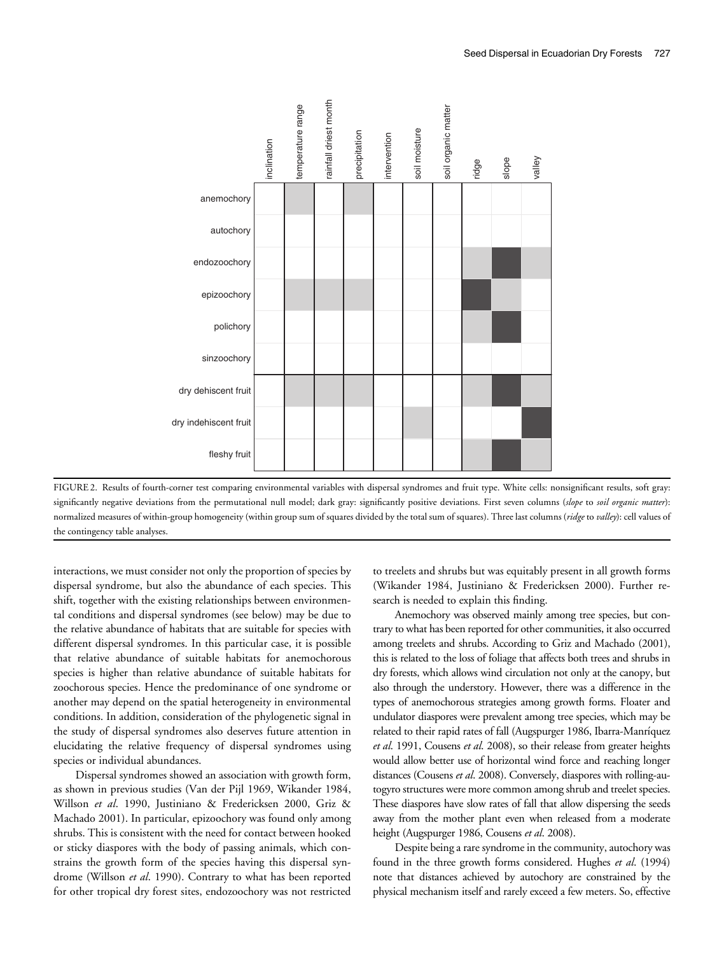

FIGURE 2. Results of fourth-corner test comparing environmental variables with dispersal syndromes and fruit type. White cells: nonsignificant results, soft gray: significantly negative deviations from the permutational null model; dark gray: significantly positive deviations. First seven columns (slope to soil organic matter): normalized measures of within-group homogeneity (within group sum of squares divided by the total sum of squares). Three last columns (ridge to valley): cell values of the contingency table analyses.

interactions, we must consider not only the proportion of species by dispersal syndrome, but also the abundance of each species. This shift, together with the existing relationships between environmental conditions and dispersal syndromes (see below) may be due to the relative abundance of habitats that are suitable for species with different dispersal syndromes. In this particular case, it is possible that relative abundance of suitable habitats for anemochorous species is higher than relative abundance of suitable habitats for zoochorous species. Hence the predominance of one syndrome or another may depend on the spatial heterogeneity in environmental conditions. In addition, consideration of the phylogenetic signal in the study of dispersal syndromes also deserves future attention in elucidating the relative frequency of dispersal syndromes using species or individual abundances.

Dispersal syndromes showed an association with growth form, as shown in previous studies (Van der Pijl 1969, Wikander 1984, Willson et al. 1990, Justiniano & Fredericksen 2000, Griz & Machado 2001). In particular, epizoochory was found only among shrubs. This is consistent with the need for contact between hooked or sticky diaspores with the body of passing animals, which constrains the growth form of the species having this dispersal syndrome (Willson et al. 1990). Contrary to what has been reported for other tropical dry forest sites, endozoochory was not restricted to treelets and shrubs but was equitably present in all growth forms (Wikander 1984, Justiniano & Fredericksen 2000). Further research is needed to explain this finding.

Anemochory was observed mainly among tree species, but contrary to what has been reported for other communities, it also occurred among treelets and shrubs. According to Griz and Machado (2001), this is related to the loss of foliage that affects both trees and shrubs in dry forests, which allows wind circulation not only at the canopy, but also through the understory. However, there was a difference in the types of anemochorous strategies among growth forms. Floater and undulator diaspores were prevalent among tree species, which may be related to their rapid rates of fall (Augspurger 1986, Ibarra-Manríquez et al. 1991, Cousens et al. 2008), so their release from greater heights would allow better use of horizontal wind force and reaching longer distances (Cousens et al. 2008). Conversely, diaspores with rolling-autogyro structures were more common among shrub and treelet species. These diaspores have slow rates of fall that allow dispersing the seeds away from the mother plant even when released from a moderate height (Augspurger 1986, Cousens et al. 2008).

Despite being a rare syndrome in the community, autochory was found in the three growth forms considered. Hughes et al. (1994) note that distances achieved by autochory are constrained by the physical mechanism itself and rarely exceed a few meters. So, effective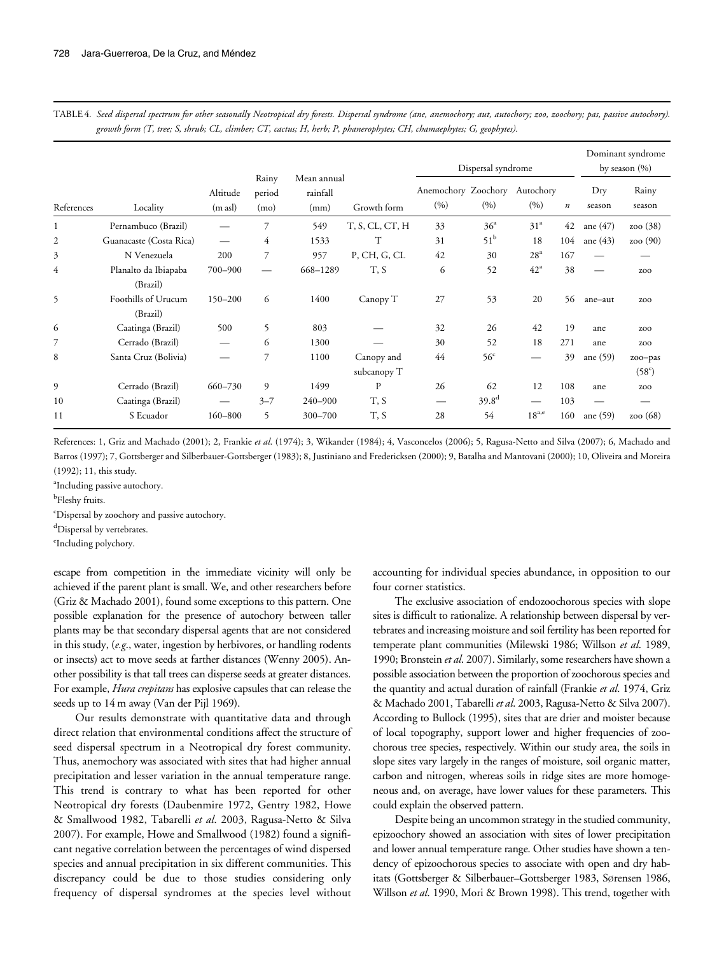TABLE 4. Seed dispersal spectrum for other seasonally Neotropical dry forests. Dispersal syndrome (ane, anemochory; aut, autochory; zoo, zoochory; pas, passive autochory). growth form (T, tree; S, shrub; CL, climber; CT, cactus; H, herb; P, phanerophytes; CH, chamaephytes; G, geophytes).

|                |                                  |                                 | Rainy<br>period<br>(mo) | Mean annual<br>rainfall<br>Growth form<br>(mm) | Dispersal syndrome        |                                        |                 |                          | Dominant syndrome<br>by season $(\% )$ |               |                         |
|----------------|----------------------------------|---------------------------------|-------------------------|------------------------------------------------|---------------------------|----------------------------------------|-----------------|--------------------------|----------------------------------------|---------------|-------------------------|
| References     | Locality                         | Altitude<br>$(m \text{ as } l)$ |                         |                                                |                           | Anemochory Zoochory Autochory<br>(9/0) | (9/0)           | (9)                      | $\it n$                                | Dry<br>season | Rainy<br>season         |
|                | Pernambuco (Brazil)              |                                 | $\mathcal{I}$           | 549                                            | T, S, CL, CT, H           | 33                                     | 36 <sup>a</sup> | 31 <sup>a</sup>          | 42                                     | ane $(47)$    | zoo $(38)$              |
| $\mathfrak{2}$ | Guanacaste (Costa Rica)          |                                 | 4                       | 1533                                           | T                         | 31                                     | $51^{\rm b}$    | 18                       | 104                                    | ane $(43)$    | zoo $(90)$              |
| 3              | N Venezuela                      | 200                             | 7                       | 957                                            | P, CH, G, CL              | 42                                     | 30              | 28 <sup>a</sup>          | 167                                    |               |                         |
| 4              | Planalto da Ibiapaba<br>(Brazil) | 700-900                         |                         | 668-1289                                       | T, S                      | 6                                      | 52              | $42^{\circ}$             | 38                                     |               | ZOO                     |
| 5              | Foothills of Urucum<br>(Brazil)  | $150 - 200$                     | 6                       | 1400                                           | Canopy T                  | 27                                     | 53              | 20                       | 56                                     | ane-aut       | ZOO                     |
| 6              | Caatinga (Brazil)                | 500                             | 5                       | 803                                            |                           | 32                                     | 26              | 42                       | 19                                     | ane           | ZO <sub>O</sub>         |
| 7              | Cerrado (Brazil)                 |                                 | 6                       | 1300                                           |                           | 30                                     | 52              | 18                       | 271                                    | ane           | zoo                     |
| 8              | Santa Cruz (Bolivia)             |                                 | 7                       | 1100                                           | Canopy and<br>subcanopy T | 44                                     | 56 <sup>c</sup> | —                        | 39                                     | ane (59)      | zoo-pas<br>$(58^\circ)$ |
| 9              | Cerrado (Brazil)                 | 660-730                         | 9                       | 1499                                           | $\mathbf{P}$              | 26                                     | 62              | 12                       | 108                                    | ane           | zoo                     |
| 10             | Caatinga (Brazil)                |                                 | $3 - 7$                 | 240-900                                        | T, S                      |                                        | $39.8^{d}$      | $\overline{\phantom{0}}$ | 103                                    |               |                         |
| 11             | S Ecuador                        | 160-800                         | 5                       | 300-700                                        | T, S                      | 28                                     | 54              | $18^{a,e}$               | 160                                    | ane $(59)$    | zoo $(68)$              |

References: 1, Griz and Machado (2001); 2, Frankie et al. (1974); 3, Wikander (1984); 4, Vasconcelos (2006); 5, Ragusa-Netto and Silva (2007); 6, Machado and Barros (1997); 7, Gottsberger and Silberbauer-Gottsberger (1983); 8, Justiniano and Fredericksen (2000); 9, Batalha and Mantovani (2000); 10, Oliveira and Moreira (1992); 11, this study.

a Including passive autochory.

<sup>b</sup>Fleshy fruits.

c Dispersal by zoochory and passive autochory.

dDispersal by vertebrates.

e Including polychory.

escape from competition in the immediate vicinity will only be achieved if the parent plant is small. We, and other researchers before (Griz & Machado 2001), found some exceptions to this pattern. One possible explanation for the presence of autochory between taller plants may be that secondary dispersal agents that are not considered in this study, (e.g., water, ingestion by herbivores, or handling rodents or insects) act to move seeds at farther distances (Wenny 2005). Another possibility is that tall trees can disperse seeds at greater distances. For example, *Hura crepitans* has explosive capsules that can release the seeds up to 14 m away (Van der Pijl 1969).

Our results demonstrate with quantitative data and through direct relation that environmental conditions affect the structure of seed dispersal spectrum in a Neotropical dry forest community. Thus, anemochory was associated with sites that had higher annual precipitation and lesser variation in the annual temperature range. This trend is contrary to what has been reported for other Neotropical dry forests (Daubenmire 1972, Gentry 1982, Howe & Smallwood 1982, Tabarelli et al. 2003, Ragusa-Netto & Silva 2007). For example, Howe and Smallwood (1982) found a significant negative correlation between the percentages of wind dispersed species and annual precipitation in six different communities. This discrepancy could be due to those studies considering only frequency of dispersal syndromes at the species level without

accounting for individual species abundance, in opposition to our four corner statistics.

The exclusive association of endozoochorous species with slope sites is difficult to rationalize. A relationship between dispersal by vertebrates and increasing moisture and soil fertility has been reported for temperate plant communities (Milewski 1986; Willson et al. 1989, 1990; Bronstein et al. 2007). Similarly, some researchers have shown a possible association between the proportion of zoochorous species and the quantity and actual duration of rainfall (Frankie et al. 1974, Griz & Machado 2001, Tabarelli et al. 2003, Ragusa-Netto & Silva 2007). According to Bullock (1995), sites that are drier and moister because of local topography, support lower and higher frequencies of zoochorous tree species, respectively. Within our study area, the soils in slope sites vary largely in the ranges of moisture, soil organic matter, carbon and nitrogen, whereas soils in ridge sites are more homogeneous and, on average, have lower values for these parameters. This could explain the observed pattern.

Despite being an uncommon strategy in the studied community, epizoochory showed an association with sites of lower precipitation and lower annual temperature range. Other studies have shown a tendency of epizoochorous species to associate with open and dry habitats (Gottsberger & Silberbauer-Gottsberger 1983, Sørensen 1986, Willson et al. 1990, Mori & Brown 1998). This trend, together with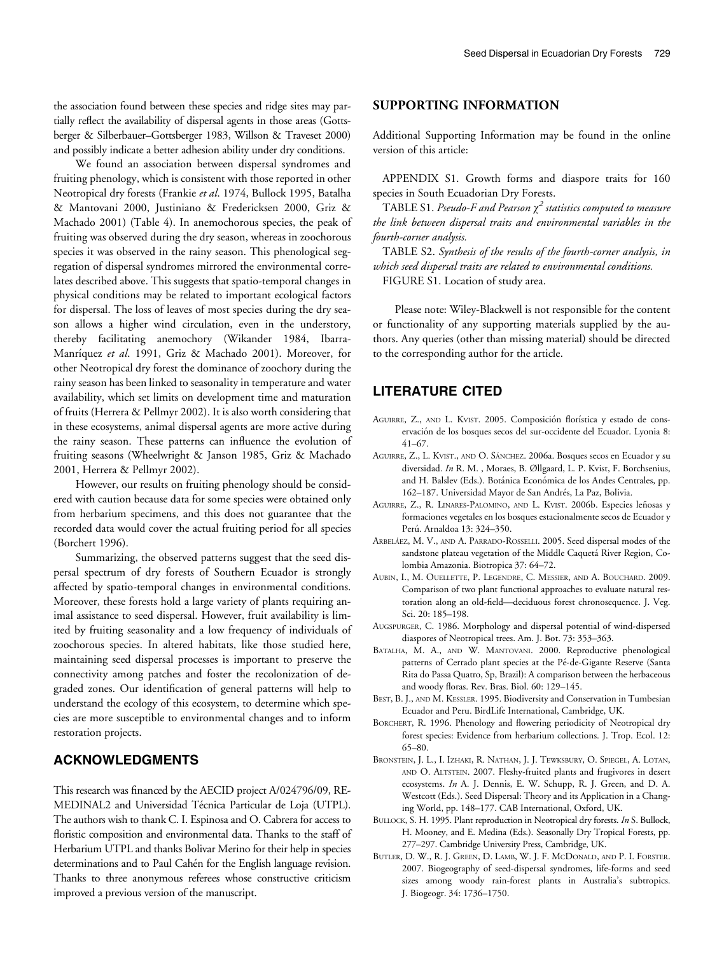the association found between these species and ridge sites may partially reflect the availability of dispersal agents in those areas (Gottsberger & Silberbauer–Gottsberger 1983, Willson & Traveset 2000) and possibly indicate a better adhesion ability under dry conditions.

We found an association between dispersal syndromes and fruiting phenology, which is consistent with those reported in other Neotropical dry forests (Frankie et al. 1974, Bullock 1995, Batalha & Mantovani 2000, Justiniano & Fredericksen 2000, Griz & Machado 2001) (Table 4). In anemochorous species, the peak of fruiting was observed during the dry season, whereas in zoochorous species it was observed in the rainy season. This phenological segregation of dispersal syndromes mirrored the environmental correlates described above. This suggests that spatio-temporal changes in physical conditions may be related to important ecological factors for dispersal. The loss of leaves of most species during the dry season allows a higher wind circulation, even in the understory, thereby facilitating anemochory (Wikander 1984, Ibarra-Manríquez et al. 1991, Griz & Machado 2001). Moreover, for other Neotropical dry forest the dominance of zoochory during the rainy season has been linked to seasonality in temperature and water availability, which set limits on development time and maturation of fruits (Herrera & Pellmyr 2002). It is also worth considering that in these ecosystems, animal dispersal agents are more active during the rainy season. These patterns can influence the evolution of fruiting seasons (Wheelwright & Janson 1985, Griz & Machado 2001, Herrera & Pellmyr 2002).

However, our results on fruiting phenology should be considered with caution because data for some species were obtained only from herbarium specimens, and this does not guarantee that the recorded data would cover the actual fruiting period for all species (Borchert 1996).

Summarizing, the observed patterns suggest that the seed dispersal spectrum of dry forests of Southern Ecuador is strongly affected by spatio-temporal changes in environmental conditions. Moreover, these forests hold a large variety of plants requiring animal assistance to seed dispersal. However, fruit availability is limited by fruiting seasonality and a low frequency of individuals of zoochorous species. In altered habitats, like those studied here, maintaining seed dispersal processes is important to preserve the connectivity among patches and foster the recolonization of degraded zones. Our identification of general patterns will help to understand the ecology of this ecosystem, to determine which species are more susceptible to environmental changes and to inform restoration projects.

## ACKNOWLEDGMENTS

This research was financed by the AECID project A/024796/09, RE-MEDINAL2 and Universidad Técnica Particular de Loja (UTPL). The authors wish to thank C. I. Espinosa and O. Cabrera for access to floristic composition and environmental data. Thanks to the staff of Herbarium UTPL and thanks Bolivar Merino for their help in species determinations and to Paul Cahén for the English language revision. Thanks to three anonymous referees whose constructive criticism improved a previous version of the manuscript.

### SUPPORTING INFORMATION

Additional Supporting Information may be found in the online version of this article:

APPENDIX S1. Growth forms and diaspore traits for 160 species in South Ecuadorian Dry Forests.

TABLE S1. Pseudo-F and Pearson  $\chi^2$  statistics computed to measure the link between dispersal traits and environmental variables in the fourth-corner analysis.

TABLE S2. Synthesis of the results of the fourth-corner analysis, in which seed dispersal traits are related to environmental conditions.

FIGURE S1. Location of study area.

Please note: Wiley-Blackwell is not responsible for the content or functionality of any supporting materials supplied by the authors. Any queries (other than missing material) should be directed to the corresponding author for the article.

## LITERATURE CITED

- AGUIRRE, Z., AND L. KVIST. 2005. Composición florística y estado de conservación de los bosques secos del sur-occidente del Ecuador. Lyonia 8: 41–67.
- AGUIRRE, Z., L. KVIST., AND O. SÁNCHEZ. 2006a. Bosques secos en Ecuador y su diversidad. In R. M. , Moraes, B. Øllgaard, L. P. Kvist, F. Borchsenius, and H. Balslev (Eds.). Botánica Económica de los Andes Centrales, pp. 162-187. Universidad Mayor de San Andrés, La Paz, Bolivia.
- AGUIRRE, Z., R. LINARES-PALOMINO, AND L. KVIST. 2006b. Especies leñosas y formaciones vegetales en los bosques estacionalmente secos de Ecuador y Perú. Arnaldoa 13: 324-350.
- ARBELÁEZ, M. V., AND A. PARRADO-ROSSELLI. 2005. Seed dispersal modes of the sandstone plateau vegetation of the Middle Caqueta<sup></sup> River Region, Colombia Amazonia. Biotropica 37: 64–72.
- AUBIN, I., M. OUELLETTE, P. LEGENDRE, C. MESSIER, AND A. BOUCHARD. 2009. Comparison of two plant functional approaches to evaluate natural restoration along an old-field—deciduous forest chronosequence. J. Veg. Sci. 20: 185–198.
- AUGSPURGER, C. 1986. Morphology and dispersal potential of wind-dispersed diaspores of Neotropical trees. Am. J. Bot. 73: 353–363.
- BATALHA, M. A., AND W. MANTOVANI. 2000. Reproductive phenological patterns of Cerrado plant species at the Pé-de-Gigante Reserve (Santa Rita do Passa Quatro, Sp, Brazil): A comparison between the herbaceous and woody floras. Rev. Bras. Biol. 60: 129–145.
- BEST, B. J., AND M. KESSLER. 1995. Biodiversity and Conservation in Tumbesian Ecuador and Peru. BirdLife International, Cambridge, UK.
- BORCHERT, R. 1996. Phenology and flowering periodicity of Neotropical dry forest species: Evidence from herbarium collections. J. Trop. Ecol. 12: 65–80.
- BRONSTEIN, J. L., I. IZHAKI, R. NATHAN, J. J. TEWKSBURY, O. SPIEGEL, A. LOTAN, AND O. ALTSTEIN. 2007. Fleshy-fruited plants and frugivores in desert ecosystems. In A. J. Dennis, E. W. Schupp, R. J. Green, and D. A. Westcott (Eds.). Seed Dispersal: Theory and its Application in a Changing World, pp. 148–177. CAB International, Oxford, UK.
- BULLOCK, S. H. 1995. Plant reproduction in Neotropical dry forests. In S. Bullock, H. Mooney, and E. Medina (Eds.). Seasonally Dry Tropical Forests, pp. 277–297. Cambridge University Press, Cambridge, UK.
- BUTLER, D. W., R. J. GREEN, D. LAMB, W. J. F. MCDONALD, AND P. I. FORSTER. 2007. Biogeography of seed-dispersal syndromes, life-forms and seed sizes among woody rain-forest plants in Australia's subtropics. J. Biogeogr. 34: 1736–1750.